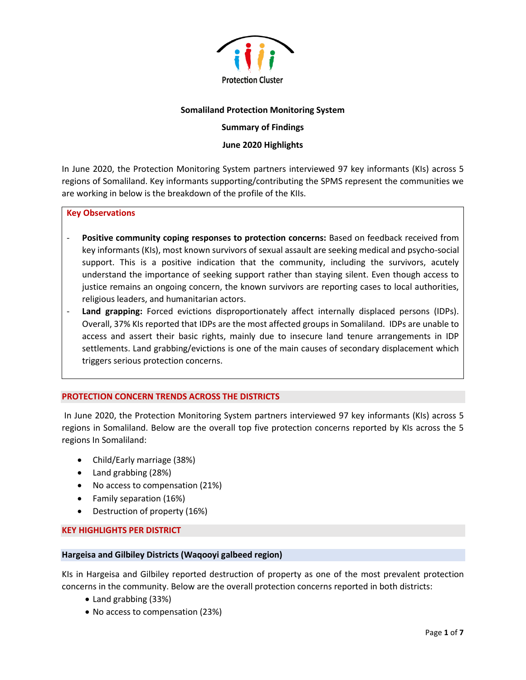

### **Somaliland Protection Monitoring System**

# **Summary of Findings**

## **June 2020 Highlights**

In June 2020, the Protection Monitoring System partners interviewed 97 key informants (KIs) across 5 regions of Somaliland. Key informants supporting/contributing the SPMS represent the communities we are working in below is the breakdown of the profile of the KIIs.

#### **Key Observations**

- **Positive community coping responses to protection concerns:** Based on feedback received from key informants (KIs), most known survivors of sexual assault are seeking medical and psycho-social support. This is a positive indication that the community, including the survivors, acutely understand the importance of seeking support rather than staying silent. Even though access to justice remains an ongoing concern, the known survivors are reporting cases to local authorities, religious leaders, and humanitarian actors.
- **Land grapping:** Forced evictions disproportionately affect internally displaced persons (IDPs). Overall, 37% KIs reported that IDPs are the most affected groups in Somaliland. IDPs are unable to access and assert their basic rights, mainly due to insecure land tenure arrangements in IDP settlements. Land grabbing/evictions is one of the main causes of secondary displacement which triggers serious protection concerns.

#### **PROTECTION CONCERN TRENDS ACROSS THE DISTRICTS**

In June 2020, the Protection Monitoring System partners interviewed 97 key informants (KIs) across 5 regions in Somaliland. Below are the overall top five protection concerns reported by KIs across the 5 regions In Somaliland:

- Child/Early marriage (38%)
- Land grabbing (28%)
- No access to compensation (21%)
- Family separation (16%)
- Destruction of property (16%)

#### **KEY HIGHLIGHTS PER DISTRICT**

#### **Hargeisa and Gilbiley Districts (Waqooyi galbeed region)**

KIs in Hargeisa and Gilbiley reported destruction of property as one of the most prevalent protection concerns in the community. Below are the overall protection concerns reported in both districts:

- Land grabbing (33%)
- No access to compensation (23%)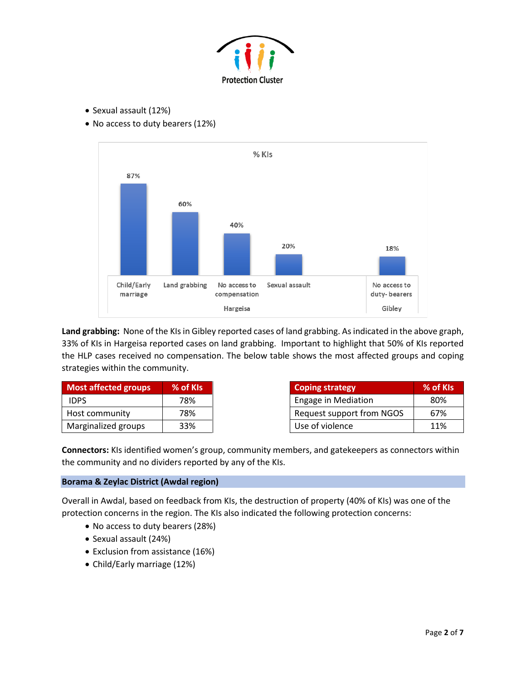

- Sexual assault (12%)
- No access to duty bearers (12%)



**Land grabbing:** None of the KIs in Gibley reported cases of land grabbing. As indicated in the above graph, 33% of KIs in Hargeisa reported cases on land grabbing. Important to highlight that 50% of KIs reported the HLP cases received no compensation. The below table shows the most affected groups and coping strategies within the community.

| <b>Most affected groups</b> | % of KIs |
|-----------------------------|----------|
| <b>IDPS</b>                 | 78%      |
| Host community              | 78%      |
| Marginalized groups         | 33%      |

| <b>Coping strategy</b>     | % of KIs        |
|----------------------------|-----------------|
| <b>Engage in Mediation</b> | 80 <sup>%</sup> |
| Request support from NGOS  | 67%             |
| Use of violence            | 11%             |

**Connectors:** KIs identified women's group, community members, and gatekeepers as connectors within the community and no dividers reported by any of the KIs.

# **Borama & Zeylac District (Awdal region)**

Overall in Awdal, based on feedback from KIs, the destruction of property (40% of KIs) was one of the protection concerns in the region. The KIs also indicated the following protection concerns:

- No access to duty bearers (28%)
- Sexual assault (24%)
- Exclusion from assistance (16%)
- Child/Early marriage (12%)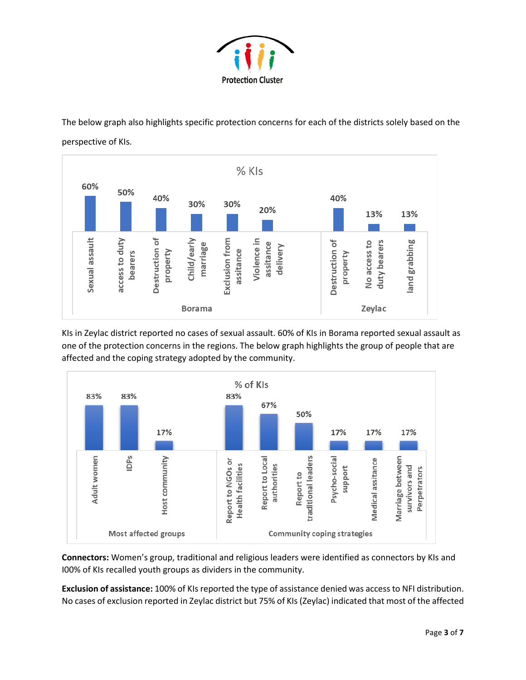

The below graph also highlights specific protection concerns for each of the districts solely based on the perspective of KIs.



KIs in Zeylac district reported no cases of sexual assault. 60% of KIs in Borama reported sexual assault as one of the protection concerns in the regions. The below graph highlights the group of people that are affected and the coping strategy adopted by the community.



**Connectors:** Women's group, traditional and religious leaders were identified as connectors by KIs and I00% of KIs recalled youth groups as dividers in the community.

**Exclusion of assistance:** 100% of KIs reported the type of assistance denied was access to NFI distribution. No cases of exclusion reported in Zeylac district but 75% of KIs (Zeylac) indicated that most of the affected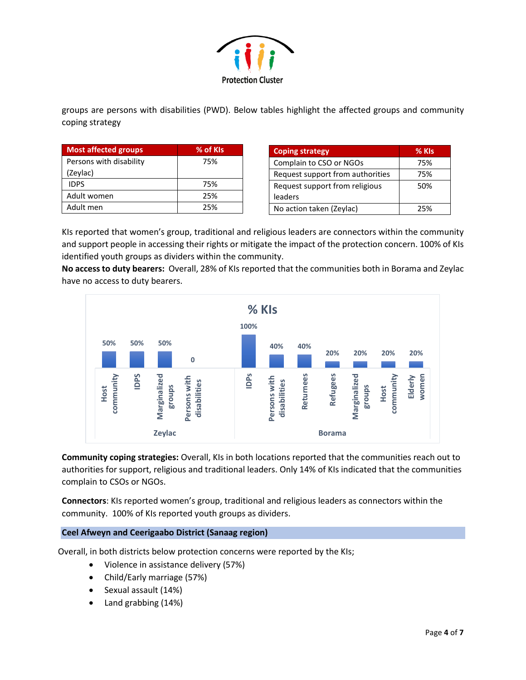

groups are persons with disabilities (PWD). Below tables highlight the affected groups and community coping strategy

| <b>Most affected groups</b> | % of KIs |
|-----------------------------|----------|
| Persons with disability     | 75%      |
| (Zeylac)                    |          |
| <b>IDPS</b>                 | 75%      |
| Adult women                 | 25%      |
| Adult men                   | 25%      |

| <b>Coping strategy</b>           | % KIs |
|----------------------------------|-------|
| Complain to CSO or NGOs          | 75%   |
| Request support from authorities | 75%   |
| Request support from religious   | 50%   |
| leaders                          |       |
| No action taken (Zeylac)         | 25%   |

KIs reported that women's group, traditional and religious leaders are connectors within the community and support people in accessing their rights or mitigate the impact of the protection concern. 100% of KIs identified youth groups as dividers within the community.

**No access to duty bearers:** Overall, 28% of KIs reported that the communities both in Borama and Zeylac have no access to duty bearers.



**Community coping strategies:** Overall, KIs in both locations reported that the communities reach out to authorities for support, religious and traditional leaders. Only 14% of KIs indicated that the communities complain to CSOs or NGOs.

**Connectors**: KIs reported women's group, traditional and religious leaders as connectors within the community. 100% of KIs reported youth groups as dividers.

# **Ceel Afweyn and Ceerigaabo District (Sanaag region)**

Overall, in both districts below protection concerns were reported by the KIs;

- Violence in assistance delivery (57%)
- Child/Early marriage (57%)
- Sexual assault (14%)
- Land grabbing (14%)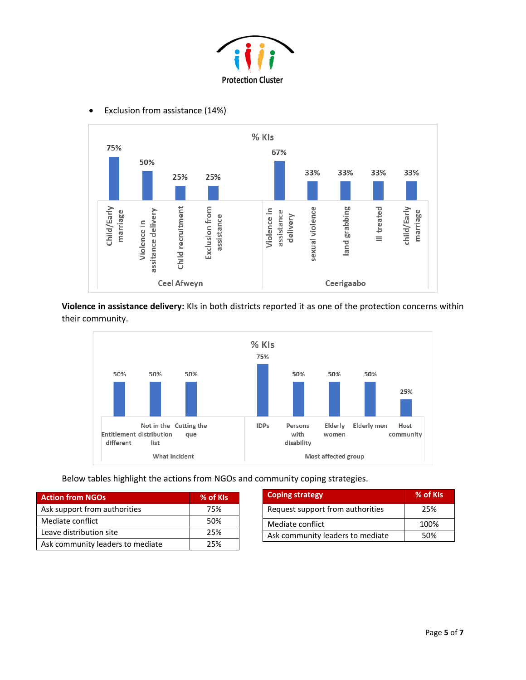



• Exclusion from assistance (14%)

**Violence in assistance delivery:** KIs in both districts reported it as one of the protection concerns within their community.



Below tables highlight the actions from NGOs and community coping strategies.

| <b>Action from NGOs</b>          | % of KIs |
|----------------------------------|----------|
| Ask support from authorities     | 75%      |
| Mediate conflict                 | 50%      |
| Leave distribution site          | 25%      |
| Ask community leaders to mediate | 25%      |

| <b>Coping strategy</b>           | % of KIs |
|----------------------------------|----------|
| Request support from authorities | 25%      |
| Mediate conflict                 | 100%     |
| Ask community leaders to mediate | 50%      |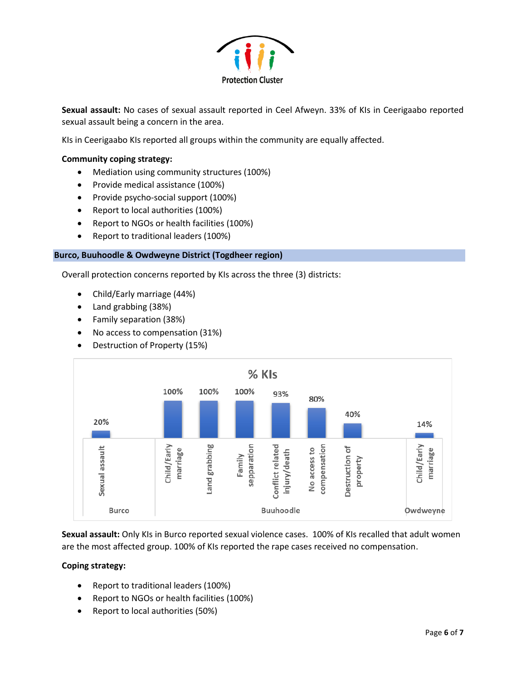

**Sexual assault:** No cases of sexual assault reported in Ceel Afweyn. 33% of KIs in Ceerigaabo reported sexual assault being a concern in the area.

KIs in Ceerigaabo KIs reported all groups within the community are equally affected.

## **Community coping strategy:**

- Mediation using community structures (100%)
- Provide medical assistance (100%)
- Provide psycho-social support (100%)
- Report to local authorities (100%)
- Report to NGOs or health facilities (100%)
- Report to traditional leaders (100%)

### **Burco, Buuhoodle & Owdweyne District (Togdheer region)**

Overall protection concerns reported by KIs across the three (3) districts:

- Child/Early marriage (44%)
- Land grabbing (38%)
- Family separation (38%)
- No access to compensation (31%)
- Destruction of Property (15%)



**Sexual assault:** Only KIs in Burco reported sexual violence cases. 100% of KIs recalled that adult women are the most affected group. 100% of KIs reported the rape cases received no compensation.

# **Coping strategy:**

- Report to traditional leaders (100%)
- Report to NGOs or health facilities (100%)
- Report to local authorities (50%)